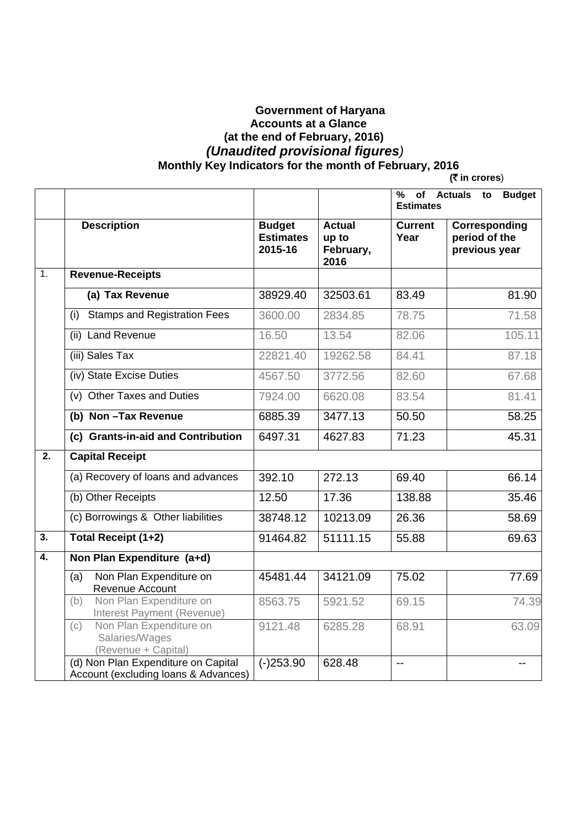## **Government of Haryana Accounts at a Glance (at the end of February, 2016)**   *(Unaudited provisional figures)*   **Monthly Key Indicators for the month of February, 2016 (**` **in crores**)

|                  |                                                                             |                                              |                                             | %<br>of Actuals<br><b>Budget</b><br>to<br><b>Estimates</b> |                                                 |  |  |  |  |
|------------------|-----------------------------------------------------------------------------|----------------------------------------------|---------------------------------------------|------------------------------------------------------------|-------------------------------------------------|--|--|--|--|
|                  | <b>Description</b>                                                          | <b>Budget</b><br><b>Estimates</b><br>2015-16 | <b>Actual</b><br>up to<br>February,<br>2016 | <b>Current</b><br>Year                                     | Corresponding<br>period of the<br>previous year |  |  |  |  |
| 1.               | <b>Revenue-Receipts</b>                                                     |                                              |                                             |                                                            |                                                 |  |  |  |  |
|                  | (a) Tax Revenue                                                             | 38929.40                                     | 32503.61                                    | 83.49                                                      | 81.90                                           |  |  |  |  |
|                  | <b>Stamps and Registration Fees</b><br>(i)                                  | 3600.00                                      | 2834.85                                     | 78.75                                                      | 71.58                                           |  |  |  |  |
|                  | (ii) Land Revenue                                                           | 16.50                                        | 13.54                                       | 82.06                                                      | 105.11                                          |  |  |  |  |
|                  | (iii) Sales Tax                                                             | 22821.40                                     | 19262.58                                    | 84.41                                                      | 87.18                                           |  |  |  |  |
|                  | (iv) State Excise Duties                                                    | 4567.50                                      | 3772.56                                     | 82.60                                                      | 67.68                                           |  |  |  |  |
|                  | (v) Other Taxes and Duties                                                  | 7924.00                                      | 6620.08                                     | 83.54                                                      | 81.41                                           |  |  |  |  |
|                  | (b) Non-Tax Revenue                                                         | 6885.39                                      | 3477.13                                     | 50.50                                                      | 58.25                                           |  |  |  |  |
|                  | (c) Grants-in-aid and Contribution                                          | 6497.31                                      | 4627.83                                     | 71.23                                                      | 45.31                                           |  |  |  |  |
| $\overline{2}$ . | <b>Capital Receipt</b>                                                      |                                              |                                             |                                                            |                                                 |  |  |  |  |
|                  | (a) Recovery of loans and advances                                          | 392.10                                       | 272.13                                      | 69.40                                                      | 66.14                                           |  |  |  |  |
|                  | (b) Other Receipts                                                          | 12.50                                        | 17.36                                       | 138.88                                                     | 35.46                                           |  |  |  |  |
|                  | (c) Borrowings & Other liabilities                                          | 38748.12                                     | 10213.09                                    | 26.36                                                      | 58.69                                           |  |  |  |  |
| $\overline{3}$ . | <b>Total Receipt (1+2)</b>                                                  | 91464.82                                     | 51111.15                                    | 55.88                                                      | 69.63                                           |  |  |  |  |
| $\overline{4}$ . | Non Plan Expenditure (a+d)                                                  |                                              |                                             |                                                            |                                                 |  |  |  |  |
|                  | Non Plan Expenditure on<br>(a)<br>Revenue Account                           | 45481.44                                     | 34121.09                                    | 75.02                                                      | 77.69                                           |  |  |  |  |
|                  | Non Plan Expenditure on<br>(b)<br>Interest Payment (Revenue)                | 8563.75                                      | 5921.52                                     | 69.15                                                      | 74.39                                           |  |  |  |  |
|                  | Non Plan Expenditure on<br>(c)<br>Salaries/Wages<br>(Revenue + Capital)     | 9121.48                                      | 6285.28                                     | 68.91                                                      | 63.09                                           |  |  |  |  |
|                  | (d) Non Plan Expenditure on Capital<br>Account (excluding loans & Advances) | $(-)253.90$                                  | 628.48                                      | $-$                                                        |                                                 |  |  |  |  |